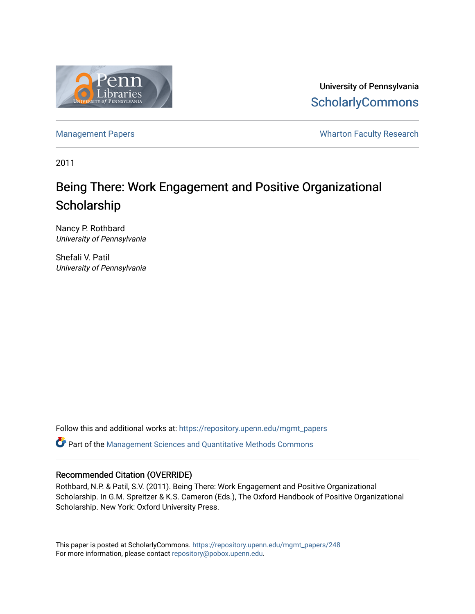

University of Pennsylvania **ScholarlyCommons** 

[Management Papers](https://repository.upenn.edu/mgmt_papers) **Management Papers** Wharton Faculty Research

2011

# Being There: Work Engagement and Positive Organizational **Scholarship**

Nancy P. Rothbard University of Pennsylvania

Shefali V. Patil University of Pennsylvania

Follow this and additional works at: [https://repository.upenn.edu/mgmt\\_papers](https://repository.upenn.edu/mgmt_papers?utm_source=repository.upenn.edu%2Fmgmt_papers%2F248&utm_medium=PDF&utm_campaign=PDFCoverPages) 

Part of the [Management Sciences and Quantitative Methods Commons](http://network.bepress.com/hgg/discipline/637?utm_source=repository.upenn.edu%2Fmgmt_papers%2F248&utm_medium=PDF&utm_campaign=PDFCoverPages)

#### Recommended Citation (OVERRIDE)

Rothbard, N.P. & Patil, S.V. (2011). Being There: Work Engagement and Positive Organizational Scholarship. In G.M. Spreitzer & K.S. Cameron (Eds.), The Oxford Handbook of Positive Organizational Scholarship. New York: Oxford University Press.

This paper is posted at ScholarlyCommons. [https://repository.upenn.edu/mgmt\\_papers/248](https://repository.upenn.edu/mgmt_papers/248)  For more information, please contact [repository@pobox.upenn.edu.](mailto:repository@pobox.upenn.edu)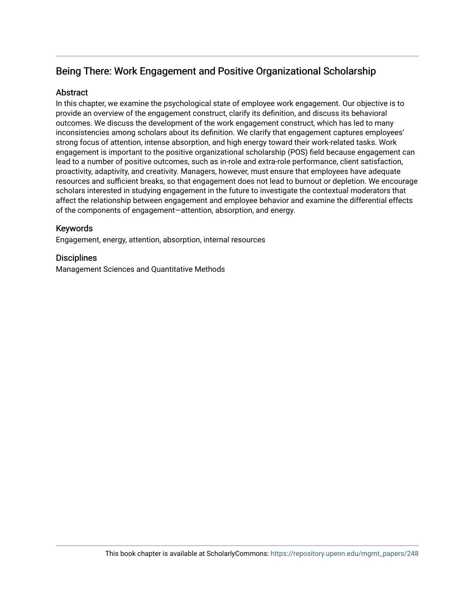#### **Abstract**

In this chapter, we examine the psychological state of employee work engagement. Our objective is to provide an overview of the engagement construct, clarify its definition, and discuss its behavioral outcomes. We discuss the development of the work engagement construct, which has led to many inconsistencies among scholars about its definition. We clarify that engagement captures employees' strong focus of attention, intense absorption, and high energy toward their work-related tasks. Work engagement is important to the positive organizational scholarship (POS) field because engagement can lead to a number of positive outcomes, such as in-role and extra-role performance, client satisfaction, proactivity, adaptivity, and creativity. Managers, however, must ensure that employees have adequate resources and sufficient breaks, so that engagement does not lead to burnout or depletion. We encourage scholars interested in studying engagement in the future to investigate the contextual moderators that affect the relationship between engagement and employee behavior and examine the differential effects of the components of engagement—attention, absorption, and energy.

#### Keywords

Engagement, energy, attention, absorption, internal resources

#### **Disciplines**

Management Sciences and Quantitative Methods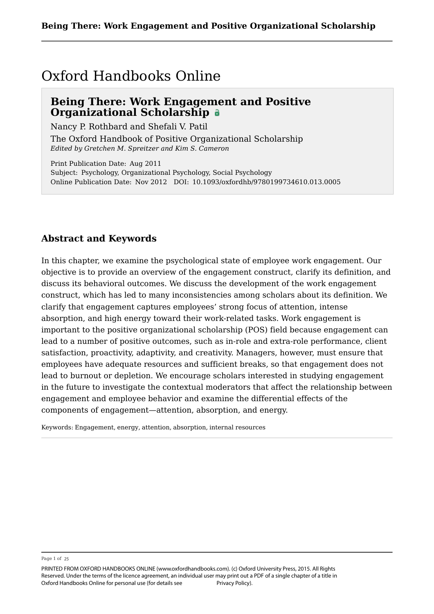# Oxford Handbooks Online

### **Being There: Work Engagement and Positive Organizational Scholarship**

Nancy P. Rothbard and Shefali V. Patil

The Oxford Handbook of Positive Organizational Scholarship *Edited by Gretchen M. Spreitzer and Kim S. Cameron*

Print Publication Date: Aug 2011 Subject: Psychology, Organizational Psychology, Social Psychology ping There: Work Engagement and Positive Organizational Scholarship<br>
Simple There: Work Engagement and Positive<br>
Organizational Scholarship<br>
Nancy P. Rothbard and Shefali V. Patil<br>
The Oxford Handbook of Positive Organizat

### **Abstract and Keywords**

In this chapter, we examine the psychological state of employee work engagement. Our objective is to provide an overview of the engagement construct, clarify its definition, and discuss its behavioral outcomes. We discuss the development of the work engagement construct, which has led to many inconsistencies among scholars about its definition. We clarify that engagement captures employees' strong focus of attention, intense absorption, and high energy toward their work-related tasks. Work engagement is important to the positive organizational scholarship (POS) field because engagement can lead to a number of positive outcomes, such as in-role and extra-role performance, client satisfaction, proactivity, adaptivity, and creativity. Managers, however, must ensure that employees have adequate resources and sufficient breaks, so that engagement does not lead to burnout or depletion. We encourage scholars interested in studying engagement in the future to investigate the contextual moderators that affect the relationship between engagement and employee behavior and examine the differential effects of the components of engagement—attention, absorption, and energy.

Keywords: Engagement, energy, attention, absorption, internal resources

Page 1 of 25

PRINTED FROM OXFORD HANDBOOKS ONLINE (www.oxfordhandbooks.com). (c) Oxford University Press, 2015. All Rights Reserved. Under the terms of the licence agreement, an individual user may print out a PDF of a single chapter of a title in Oxford Handbooks Online for personal use (for details see Privacy Policy).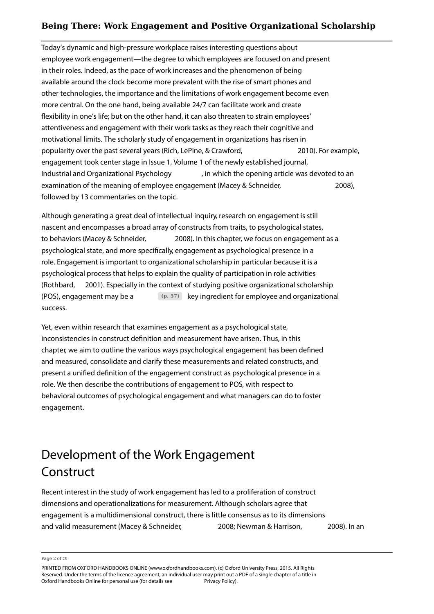Today's dynamic and high-pressure workplace raises interesting questions about employee work engagement—the degree to which employees are focused on and present in their roles. Indeed, as the pace of work increases and the phenomenon of being available around the clock become more prevalent with the rise of smart phones and other technologies, the importance and the limitations of work engagement become even more central. On the one hand, being available 24/7 can facilitate work and create flexibility in one's life; but on the other hand, it can also threaten to strain employees' attentiveness and engagement with their work tasks as they reach their cognitive and motivational limits. The scholarly study of engagement in organizations has risen in popularity over the past several years (Rich, LePine, & Crawford, 2010). For example, engagement took center stage in Issue 1, Volume 1 of the newly established journal, Industrial and Organizational Psychology , in which the opening article was devoted to an examination of the meaning of employee engagement (Macey & Schneider, 2008), followed by 13 commentaries on the topic.

Although generating a great deal of intellectual inquiry, research on engagement is still nascent and encompasses a broad array of constructs from traits, to psychological states, to behaviors (Macey & Schneider, 2008). In this chapter, we focus on engagement as a psychological state, and more specifically, engagement as psychological presence in a role. Engagement is important to organizational scholarship in particular because it is a psychological process that helps to explain the quality of participation in role activities (Rothbard, 2001). Especially in the context of studying positive organizational scholarship (POS), engagement may be a key ingredient for employee and organizational success.

Yet, even within research that examines engagement as a psychological state, inconsistencies in construct definition and measurement have arisen. Thus, in this chapter, we aim to outline the various ways psychological engagement has been defined and measured, consolidate and clarify these measurements and related constructs, and present a unified definition of the engagement construct as psychological presence in a role. We then describe the contributions of engagement to POS, with respect to behavioral outcomes of psychological engagement and what managers can do to foster engagement.

# Development of the Work Engagement Construct

Recent interest in the study of work engagement has led to a proliferation of construct dimensions and operationalizations for measurement. Although scholars agree that engagement is a multidimensional construct, there is little consensus as to its dimensions and valid measurement (Macey & Schneider, 2008; Newman & Harrison, 2008). In an

Page 2 of 25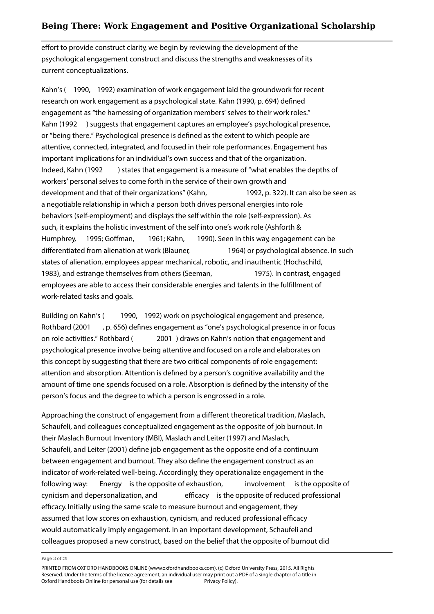effort to provide construct clarity, we begin by reviewing the development of the psychological engagement construct and discuss the strengths and weaknesses of its current conceptualizations.

Kahn's ( 1990, 1992) examination of work engagement laid the groundwork for recent research on work engagement as a psychological state. Kahn (1990, p. 694) defined engagement as "the harnessing of organization members' selves to their work roles." Kahn (1992 ) suggests that engagement captures an employee's psychological presence, or "being there." Psychological presence is defined as the extent to which people are attentive, connected, integrated, and focused in their role performances. Engagement has important implications for an individual's own success and that of the organization. Indeed, Kahn (1992 ) states that engagement is a measure of "what enables the depths of workers' personal selves to come forth in the service of their own growth and development and that of their organizations" (Kahn, 1992, p. 322). It can also be seen as a negotiable relationship in which a person both drives personal energies into role behaviors (self-employment) and displays the self within the role (self-expression). As such, it explains the holistic investment of the self into one's work role (Ashforth & Humphrey, 1995; Goffman, 1961; Kahn, 1990). Seen in this way, engagement can be differentiated from alienation at work (Blauner, 1964) or psychological absence. In such states of alienation, employees appear mechanical, robotic, and inauthentic (Hochschild, 1983), and estrange themselves from others (Seeman, 1975). In contrast, engaged employees are able to access their considerable energies and talents in the fulfillment of work-related tasks and goals.

Building on Kahn's ( 1990, 1992) work on psychological engagement and presence, Rothbard (2001 , p. 656) defines engagement as "one's psychological presence in or focus on role activities." Rothbard ( 2001 ) draws on Kahn's notion that engagement and psychological presence involve being attentive and focused on a role and elaborates on this concept by suggesting that there are two critical components of role engagement: attention and absorption. Attention is defined by a person's cognitive availability and the amount of time one spends focused on a role. Absorption is defined by the intensity of the person's focus and the degree to which a person is engrossed in a role.

Approaching the construct of engagement from a different theoretical tradition, Maslach, Schaufeli, and colleagues conceptualized engagement as the opposite of job burnout. In their Maslach Burnout Inventory (MBI), Maslach and Leiter (1997) and Maslach, Schaufeli, and Leiter (2001) define job engagement as the opposite end of a continuum between engagement and burnout. They also define the engagement construct as an indicator of work-related well-being. Accordingly, they operationalize engagement in the following way: Energy is the opposite of exhaustion, involvement is the opposite of cynicism and depersonalization, and efficacy is the opposite of reduced professional efficacy. Initially using the same scale to measure burnout and engagement, they assumed that low scores on exhaustion, cynicism, and reduced professional efficacy would automatically imply engagement. In an important development, Schaufeli and colleagues proposed a new construct, based on the belief that the opposite of burnout did

Page 3 of 25

PRINTED FROM OXFORD HANDBOOKS ONLINE (www.oxfordhandbooks.com). (c) Oxford University Press, 2015. All Rights Reserved. Under the terms of the licence agreement, an individual user may print out a PDF of a single chapter of a title in Oxford Handbooks Online for personal use (for details see Privacy Policy).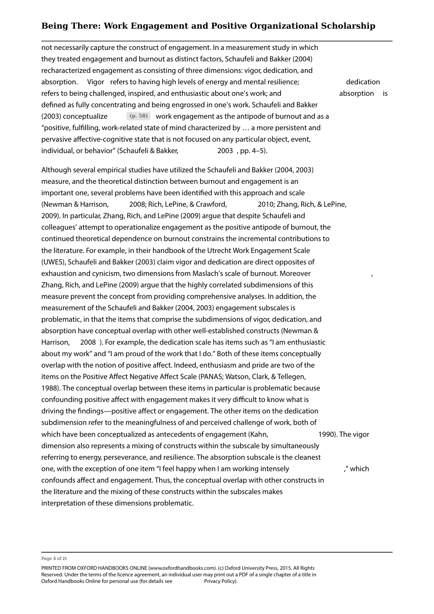not necessarily capture the construct of engagement. In a measurement study in which they treated engagement and burnout as distinct factors, Schaufeli and Bakker (2004) recharacterized engagement as consisting of three dimensions: vigor, dedication, and absorption. Vigor refers to having high levels of energy and mental resilience; dedication refers to being challenged, inspired, and enthusiastic about one's work; and absorption is defined as fully concentrating and being engrossed in one's work. Schaufeli and Bakker  $(2003)$  conceptualize  $(p. 58)$  work engagement as the antipode of burnout and as a "positive, fullling, work-related state of mind characterized by … a more persistent and pervasive affective-cognitive state that is not focused on any particular object, event, individual, or behavior" (Schaufeli & Bakker, 2003 , pp. 4–5).

Although several empirical studies have utilized the Schaufeli and Bakker (2004, 2003) measure, and the theoretical distinction between burnout and engagement is an important one, several problems have been identified with this approach and scale (Newman & Harrison, 2008; Rich, LePine, & Crawford, 2010; Zhang, Rich, & LePine, 2009). In particular, Zhang, Rich, and LePine (2009) argue that despite Schaufeli and colleagues' attempt to operationalize engagement as the positive antipode of burnout, the continued theoretical dependence on burnout constrains the incremental contributions to the literature. For example, in their handbook of the Utrecht Work Engagement Scale (UWES), Schaufeli and Bakker (2003) claim vigor and dedication are direct opposites of exhaustion and cynicism, two dimensions from Maslach's scale of burnout. Moreover , Zhang, Rich, and LePine (2009) argue that the highly correlated subdimensions of this measure prevent the concept from providing comprehensive analyses. In addition, the measurement of the Schaufeli and Bakker (2004, 2003) engagement subscales is problematic, in that the items that comprise the subdimensions of vigor, dedication, and absorption have conceptual overlap with other well-established constructs (Newman & Harrison, 2008 ). For example, the dedication scale has items such as "I am enthusiastic about my work" and "I am proud of the work that I do." Both of these items conceptually overlap with the notion of positive affect. Indeed, enthusiasm and pride are two of the items on the Positive Affect Negative Affect Scale (PANAS; Watson, Clark, & Tellegen, 1988). The conceptual overlap between these items in particular is problematic because confounding positive affect with engagement makes it very difficult to know what is driving the findings—positive affect or engagement. The other items on the dedication subdimension refer to the meaningfulness of and perceived challenge of work, both of which have been conceptualized as antecedents of engagement (Kahn, 1990). The vigor dimension also represents a mixing of constructs within the subscale by simultaneously referring to energy, perseverance, and resilience. The absorption subscale is the cleanest one, with the exception of one item "I feel happy when I am working intensely ," which confounds affect and engagement. Thus, the conceptual overlap with other constructs in the literature and the mixing of these constructs within the subscales makes interpretation of these dimensions problematic.

#### Page 4 of 25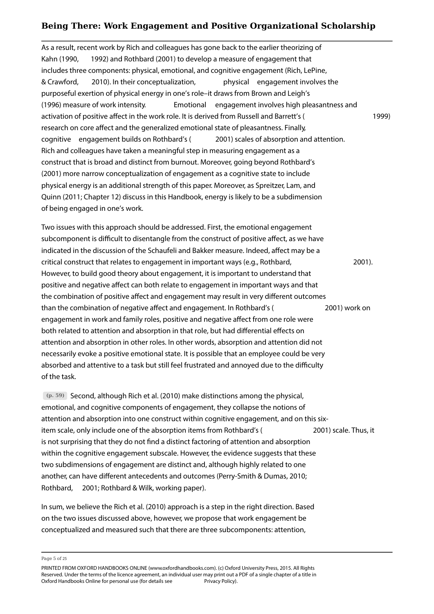As a result, recent work by Rich and colleagues has gone back to the earlier theorizing of Kahn (1990, 1992) and Rothbard (2001) to develop a measure of engagement that includes three components: physical, emotional, and cognitive engagement (Rich, LePine, & Crawford, 2010). In their conceptualization, physical engagement involves the purposeful exertion of physical energy in one's role–it draws from Brown and Leigh's (1996) measure of work intensity. Emotional engagement involves high pleasantness and activation of positive affect in the work role. It is derived from Russell and Barrett's (
1999) research on core affect and the generalized emotional state of pleasantness. Finally, cognitive engagement builds on Rothbard's ( 2001) scales of absorption and attention. Rich and colleagues have taken a meaningful step in measuring engagement as a construct that is broad and distinct from burnout. Moreover, going beyond Rothbard's (2001) more narrow conceptualization of engagement as a cognitive state to include physical energy is an additional strength of this paper. Moreover, as Spreitzer, Lam, and Quinn (2011; Chapter 12) discuss in this Handbook, energy is likely to be a subdimension of being engaged in one's work.

Two issues with this approach should be addressed. First, the emotional engagement subcomponent is difficult to disentangle from the construct of positive affect, as we have indicated in the discussion of the Schaufeli and Bakker measure. Indeed, affect may be a critical construct that relates to engagement in important ways (e.g., Rothbard, 2001). However, to build good theory about engagement, it is important to understand that positive and negative affect can both relate to engagement in important ways and that the combination of positive affect and engagement may result in very different outcomes than the combination of negative affect and engagement. In Rothbard's (2001) work on engagement in work and family roles, positive and negative affect from one role were both related to attention and absorption in that role, but had differential effects on attention and absorption in other roles. In other words, absorption and attention did not necessarily evoke a positive emotional state. It is possible that an employee could be very absorbed and attentive to a task but still feel frustrated and annoyed due to the difficulty of the task.

Second, although Rich et al. (2010) make distinctions among the physical, **(p. 59)** emotional, and cognitive components of engagement, they collapse the notions of attention and absorption into one construct within cognitive engagement, and on this sixitem scale, only include one of the absorption items from Rothbard's ( 2001) scale. Thus, it is not surprising that they do not find a distinct factoring of attention and absorption within the cognitive engagement subscale. However, the evidence suggests that these two subdimensions of engagement are distinct and, although highly related to one another, can have different antecedents and outcomes (Perry-Smith & Dumas, 2010; Rothbard, 2001; Rothbard & Wilk, working paper).

In sum, we believe the Rich et al. (2010) approach is a step in the right direction. Based on the two issues discussed above, however, we propose that work engagement be conceptualized and measured such that there are three subcomponents: attention,

Page 5 of 25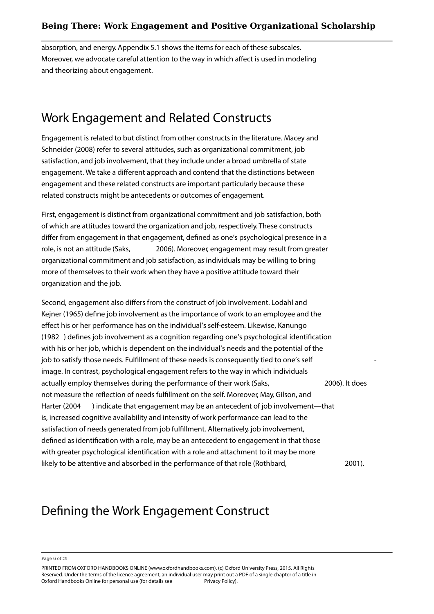absorption, and energy. Appendix 5.1 shows the items for each of these subscales. Moreover, we advocate careful attention to the way in which affect is used in modeling and theorizing about engagement.

# Work Engagement and Related Constructs

Engagement is related to but distinct from other constructs in the literature. Macey and Schneider (2008) refer to several attitudes, such as organizational commitment, job satisfaction, and job involvement, that they include under a broad umbrella of state engagement. We take a different approach and contend that the distinctions between engagement and these related constructs are important particularly because these related constructs might be antecedents or outcomes of engagement.

First, engagement is distinct from organizational commitment and job satisfaction, both of which are attitudes toward the organization and job, respectively. These constructs differ from engagement in that engagement, defined as one's psychological presence in a role, is not an attitude (Saks, 2006). Moreover, engagement may result from greater organizational commitment and job satisfaction, as individuals may be willing to bring more of themselves to their work when they have a positive attitude toward their organization and the job.

Second, engagement also differs from the construct of job involvement. Lodahl and Kejner (1965) define job involvement as the importance of work to an employee and the effect his or her performance has on the individual's self-esteem. Likewise, Kanungo (1982) defines job involvement as a cognition regarding one's psychological identification with his or her job, which is dependent on the individual's needs and the potential of the job to satisfy those needs. Fulfillment of these needs is consequently tied to one's self image. In contrast, psychological engagement refers to the way in which individuals actually employ themselves during the performance of their work (Saks, 2006). It does not measure the reflection of needs fulfillment on the self. Moreover, May, Gilson, and Harter (2004 ) indicate that engagement may be an antecedent of job involvement—that is, increased cognitive availability and intensity of work performance can lead to the satisfaction of needs generated from job fulfillment. Alternatively, job involvement, defined as identification with a role, may be an antecedent to engagement in that those with greater psychological identification with a role and attachment to it may be more likely to be attentive and absorbed in the performance of that role (Rothbard, 2001).

# Defining the Work Engagement Construct

Page 6 of 25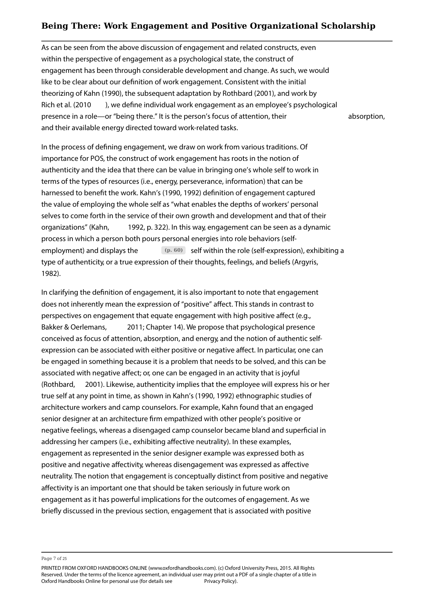As can be seen from the above discussion of engagement and related constructs, even within the perspective of engagement as a psychological state, the construct of engagement has been through considerable development and change. As such, we would like to be clear about our definition of work engagement. Consistent with the initial theorizing of Kahn (1990), the subsequent adaptation by Rothbard (2001), and work by Rich et al. (2010 ), we define individual work engagement as an employee's psychological presence in a role—or "being there." It is the person's focus of attention, their absorption, and their available energy directed toward work-related tasks.

In the process of defining engagement, we draw on work from various traditions. Of importance for POS, the construct of work engagement has roots in the notion of authenticity and the idea that there can be value in bringing one's whole self to work in terms of the types of resources (i.e., energy, perseverance, information) that can be harnessed to benefit the work. Kahn's (1990, 1992) definition of engagement captured the value of employing the whole self as "what enables the depths of workers' personal selves to come forth in the service of their own growth and development and that of their organizations" (Kahn, 1992, p. 322). In this way, engagement can be seen as a dynamic process in which a person both pours personal energies into role behaviors (selfemployment) and displays the self within the role (self-expression), exhibiting a a self within the role (self-expression), exhibiting a type of authenticity, or a true expression of their thoughts, feelings, and beliefs (Argyris, 1982).

In clarifying the definition of engagement, it is also important to note that engagement does not inherently mean the expression of "positive" affect. This stands in contrast to perspectives on engagement that equate engagement with high positive affect (e.g., Bakker & Oerlemans, 2011; Chapter 14). We propose that psychological presence conceived as focus of attention, absorption, and energy, and the notion of authentic selfexpression can be associated with either positive or negative affect. In particular, one can be engaged in something because it is a problem that needs to be solved, and this can be associated with negative affect; or, one can be engaged in an activity that is joyful (Rothbard, 2001). Likewise, authenticity implies that the employee will express his or her true self at any point in time, as shown in Kahn's (1990, 1992) ethnographic studies of architecture workers and camp counselors. For example, Kahn found that an engaged senior designer at an architecture firm empathized with other people's positive or negative feelings, whereas a disengaged camp counselor became bland and superficial in addressing her campers (i.e., exhibiting affective neutrality). In these examples, engagement as represented in the senior designer example was expressed both as positive and negative affectivity, whereas disengagement was expressed as affective neutrality. The notion that engagement is conceptually distinct from positive and negative affectivity is an important one that should be taken seriously in future work on engagement as it has powerful implications for the outcomes of engagement. As we briefly discussed in the previous section, engagement that is associated with positive

Page 7 of 25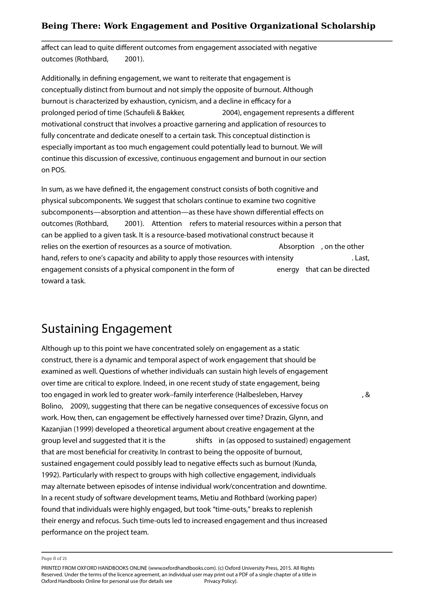affect can lead to quite different outcomes from engagement associated with negative outcomes (Rothbard, 2001).

Additionally, in defining engagement, we want to reiterate that engagement is conceptually distinct from burnout and not simply the opposite of burnout. Although burnout is characterized by exhaustion, cynicism, and a decline in efficacy for a prolonged period of time (Schaufeli & Bakker, 2004), engagement represents a different motivational construct that involves a proactive garnering and application of resources to fully concentrate and dedicate oneself to a certain task. This conceptual distinction is especially important as too much engagement could potentially lead to burnout. We will continue this discussion of excessive, continuous engagement and burnout in our section on POS.

In sum, as we have defined it, the engagement construct consists of both cognitive and physical subcomponents. We suggest that scholars continue to examine two cognitive subcomponents—absorption and attention—as these have shown differential effects on outcomes (Rothbard, 2001). Attention refers to material resources within a person that can be applied to a given task. It is a resource-based motivational construct because it relies on the exertion of resources as a source of motivation. Absorption , on the other hand, refers to one's capacity and ability to apply those resources with intensity . Last, engagement consists of a physical component in the form of energy that can be directed toward a task.

# Sustaining Engagement

Although up to this point we have concentrated solely on engagement as a static construct, there is a dynamic and temporal aspect of work engagement that should be examined as well. Questions of whether individuals can sustain high levels of engagement over time are critical to explore. Indeed, in one recent study of state engagement, being too engaged in work led to greater work–family interference (Halbesleben, Harvey , & Bolino, 2009), suggesting that there can be negative consequences of excessive focus on work. How, then, can engagement be effectively harnessed over time? Drazin, Glynn, and Kazanjian (1999) developed a theoretical argument about creative engagement at the group level and suggested that it is the shifts in (as opposed to sustained) engagement that are most beneficial for creativity. In contrast to being the opposite of burnout, sustained engagement could possibly lead to negative effects such as burnout (Kunda, 1992). Particularly with respect to groups with high collective engagement, individuals may alternate between episodes of intense individual work/concentration and downtime. In a recent study of software development teams, Metiu and Rothbard (working paper) found that individuals were highly engaged, but took "time-outs," breaks to replenish their energy and refocus. Such time-outs led to increased engagement and thus increased performance on the project team.

Page 8 of 25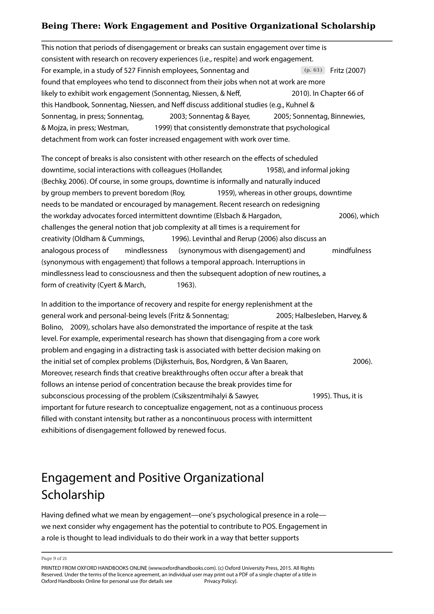This notion that periods of disengagement or breaks can sustain engagement over time is consistent with research on recovery experiences (i.e., respite) and work engagement. For example, in a study of 527 Finnish employees, Sonnentag and found that employees who tend to disconnect from their jobs when not at work are more likely to exhibit work engagement (Sonnentag, Niessen, & Neff, 2010). In Chapter 66 of this Handbook, Sonnentag, Niessen, and Neff discuss additional studies (e.g., Kuhnel & Sonnentag, in press; Sonnentag, 2003; Sonnentag & Bayer, 2005; Sonnentag, Binnewies, & Mojza, in press; Westman, 1999) that consistently demonstrate that psychological detachment from work can foster increased engagement with work over time. **(p. 61)**

The concept of breaks is also consistent with other research on the effects of scheduled downtime, social interactions with colleagues (Hollander, 1958), and informal joking (Bechky, 2006). Of course, in some groups, downtime is informally and naturally induced by group members to prevent boredom (Roy, 1959), whereas in other groups, downtime needs to be mandated or encouraged by management. Recent research on redesigning the workday advocates forced intermittent downtime (Elsbach & Hargadon, 2006), which challenges the general notion that job complexity at all times is a requirement for creativity (Oldham & Cummings, 1996). Levinthal and Rerup (2006) also discuss an analogous process of mindlessness (synonymous with disengagement) and mindfulness (synonymous with engagement) that follows a temporal approach. Interruptions in mindlessness lead to consciousness and then the subsequent adoption of new routines, a form of creativity (Cyert & March, 1963).

In addition to the importance of recovery and respite for energy replenishment at the general work and personal-being levels (Fritz & Sonnentag; 2005; Halbesleben, Harvey, & Bolino, 2009), scholars have also demonstrated the importance of respite at the task level. For example, experimental research has shown that disengaging from a core work problem and engaging in a distracting task is associated with better decision making on the initial set of complex problems (Dijksterhuis, Bos, Nordgren, & Van Baaren, 2006). Moreover, research finds that creative breakthroughs often occur after a break that follows an intense period of concentration because the break provides time for subconscious processing of the problem (Csikszentmihalyi & Sawyer, 1995). Thus, it is important for future research to conceptualize engagement, not as a continuous process filled with constant intensity, but rather as a noncontinuous process with intermittent exhibitions of disengagement followed by renewed focus.

# Engagement and Positive Organizational Scholarship

Having defined what we mean by engagement—one's psychological presence in a role we next consider why engagement has the potential to contribute to POS. Engagement in a role is thought to lead individuals to do their work in a way that better supports

Page 9 of 25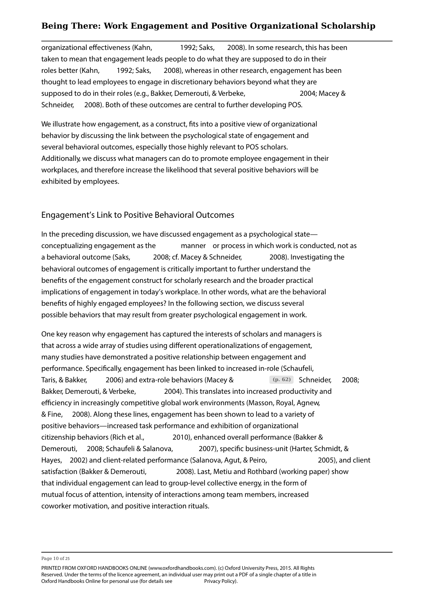organizational effectiveness (Kahn, 1992; Saks, 2008). In some research, this has been taken to mean that engagement leads people to do what they are supposed to do in their roles better (Kahn, 1992; Saks, 2008), whereas in other research, engagement has been thought to lead employees to engage in discretionary behaviors beyond what they are supposed to do in their roles (e.g., Bakker, Demerouti, & Verbeke, 2004; Macey & Schneider, 2008). Both of these outcomes are central to further developing POS.

We illustrate how engagement, as a construct, fits into a positive view of organizational behavior by discussing the link between the psychological state of engagement and several behavioral outcomes, especially those highly relevant to POS scholars. Additionally, we discuss what managers can do to promote employee engagement in their workplaces, and therefore increase the likelihood that several positive behaviors will be exhibited by employees.

#### Engagement's Link to Positive Behavioral Outcomes

In the preceding discussion, we have discussed engagement as a psychological state conceptualizing engagement as the manner or process in which work is conducted, not as a behavioral outcome (Saks, 2008; cf. Macey & Schneider, 2008). Investigating the behavioral outcomes of engagement is critically important to further understand the benefits of the engagement construct for scholarly research and the broader practical implications of engagement in today's workplace. In other words, what are the behavioral benefits of highly engaged employees? In the following section, we discuss several possible behaviors that may result from greater psychological engagement in work.

One key reason why engagement has captured the interests of scholars and managers is that across a wide array of studies using different operationalizations of engagement, many studies have demonstrated a positive relationship between engagement and performance. Specifically, engagement has been linked to increased in-role (Schaufeli, Taris, & Bakker, 2006) and extra-role behaviors (Macey &  $(p. 62)$  Schneider, 2008; Bakker, Demerouti, & Verbeke, 2004). This translates into increased productivity and efficiency in increasingly competitive global work environments (Masson, Royal, Agnew, & Fine, 2008). Along these lines, engagement has been shown to lead to a variety of positive behaviors—increased task performance and exhibition of organizational citizenship behaviors (Rich et al., 2010), enhanced overall performance (Bakker & Demerouti, 2008; Schaufeli & Salanova, 2007), specific business-unit (Harter, Schmidt, & Hayes, 2002) and client-related performance (Salanova, Agut, & Peiro, 2005), and client satisfaction (Bakker & Demerouti, 2008). Last, Metiu and Rothbard (working paper) show that individual engagement can lead to group-level collective energy, in the form of mutual focus of attention, intensity of interactions among team members, increased coworker motivation, and positive interaction rituals. **(p. 62)**

Page 10 of 25

PRINTED FROM OXFORD HANDBOOKS ONLINE (www.oxfordhandbooks.com). (c) Oxford University Press, 2015. All Rights Reserved. Under the terms of the licence agreement, an individual user may print out a PDF of a single chapter of a title in Oxford Handbooks Online for personal use (for details see Privacy Policy).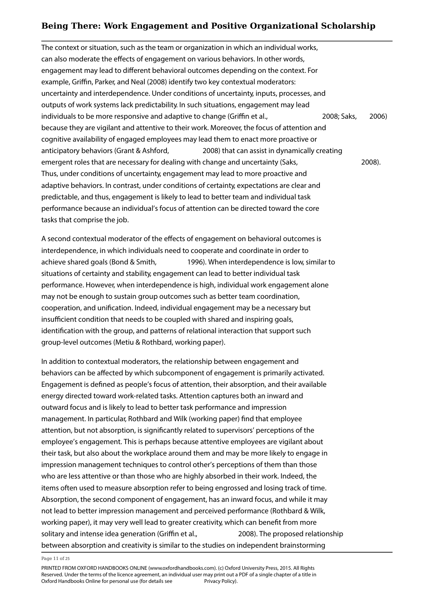The context or situation, such as the team or organization in which an individual works, can also moderate the effects of engagement on various behaviors. In other words, engagement may lead to different behavioral outcomes depending on the context. For example, Griffin, Parker, and Neal (2008) identify two key contextual moderators: uncertainty and interdependence. Under conditions of uncertainty, inputs, processes, and outputs of work systems lack predictability. In such situations, engagement may lead individuals to be more responsive and adaptive to change (Griffin et al., 2008; Saks, 2006) because they are vigilant and attentive to their work. Moreover, the focus of attention and cognitive availability of engaged employees may lead them to enact more proactive or anticipatory behaviors (Grant & Ashford, 2008) that can assist in dynamically creating emergent roles that are necessary for dealing with change and uncertainty (Saks, 2008). Thus, under conditions of uncertainty, engagement may lead to more proactive and adaptive behaviors. In contrast, under conditions of certainty, expectations are clear and predictable, and thus, engagement is likely to lead to better team and individual task performance because an individual's focus of attention can be directed toward the core tasks that comprise the job.

A second contextual moderator of the effects of engagement on behavioral outcomes is interdependence, in which individuals need to cooperate and coordinate in order to achieve shared goals (Bond & Smith, 1996). When interdependence is low, similar to situations of certainty and stability, engagement can lead to better individual task performance. However, when interdependence is high, individual work engagement alone may not be enough to sustain group outcomes such as better team coordination, cooperation, and unification. Indeed, individual engagement may be a necessary but insufficient condition that needs to be coupled with shared and inspiring goals, identification with the group, and patterns of relational interaction that support such group-level outcomes (Metiu & Rothbard, working paper).

In addition to contextual moderators, the relationship between engagement and behaviors can be affected by which subcomponent of engagement is primarily activated. Engagement is defined as people's focus of attention, their absorption, and their available energy directed toward work-related tasks. Attention captures both an inward and outward focus and is likely to lead to better task performance and impression management. In particular, Rothbard and Wilk (working paper) find that employee attention, but not absorption, is significantly related to supervisors' perceptions of the employee's engagement. This is perhaps because attentive employees are vigilant about their task, but also about the workplace around them and may be more likely to engage in impression management techniques to control other's perceptions of them than those who are less attentive or than those who are highly absorbed in their work. Indeed, the items often used to measure absorption refer to being engrossed and losing track of time. Absorption, the second component of engagement, has an inward focus, and while it may not lead to better impression management and perceived performance (Rothbard & Wilk, working paper), it may very well lead to greater creativity, which can benefit from more solitary and intense idea generation (Griffin et al., 2008). The proposed relationship between absorption and creativity is similar to the studies on independent brainstorming

Page 11 of 25

PRINTED FROM OXFORD HANDBOOKS ONLINE (www.oxfordhandbooks.com). (c) Oxford University Press, 2015. All Rights Reserved. Under the terms of the licence agreement, an individual user may print out a PDF of a single chapter of a title in Oxford Handbooks Online for personal use (for details see Privacy Policy).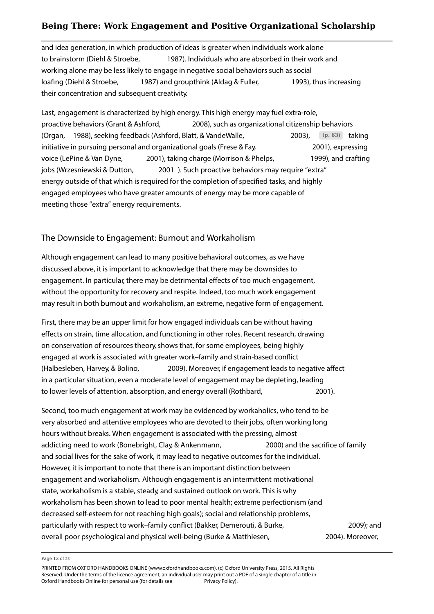and idea generation, in which production of ideas is greater when individuals work alone to brainstorm (Diehl & Stroebe, 1987). Individuals who are absorbed in their work and working alone may be less likely to engage in negative social behaviors such as social loafing (Diehl & Stroebe, 1987) and groupthink (Aldag & Fuller, 1993), thus increasing their concentration and subsequent creativity.

Last, engagement is characterized by high energy. This high energy may fuel extra-role, proactive behaviors (Grant & Ashford, 2008), such as organizational citizenship behaviors (Organ, 1988), seeking feedback (Ashford, Blatt, & VandeWalle, initiative in pursuing personal and organizational goals (Frese & Fay, 2001), expressing voice (LePine & Van Dyne, 2001), taking charge (Morrison & Phelps, 1999), and crafting jobs (Wrzesniewski & Dutton, 2001 ). Such proactive behaviors may require "extra" energy outside of that which is required for the completion of specified tasks, and highly engaged employees who have greater amounts of energy may be more capable of meeting those "extra" energy requirements. **(p. 63)**

#### The Downside to Engagement: Burnout and Workaholism

Although engagement can lead to many positive behavioral outcomes, as we have discussed above, it is important to acknowledge that there may be downsides to engagement. In particular, there may be detrimental effects of too much engagement, without the opportunity for recovery and respite. Indeed, too much work engagement may result in both burnout and workaholism, an extreme, negative form of engagement.

First, there may be an upper limit for how engaged individuals can be without having effects on strain, time allocation, and functioning in other roles. Recent research, drawing on conservation of resources theory, shows that, for some employees, being highly engaged at work is associated with greater work–family and strain-based conflict (Halbesleben, Harvey, & Bolino, 2009). Moreover, if engagement leads to negative affect in a particular situation, even a moderate level of engagement may be depleting, leading to lower levels of attention, absorption, and energy overall (Rothbard, 2001).

Second, too much engagement at work may be evidenced by workaholics, who tend to be very absorbed and attentive employees who are devoted to their jobs, often working long hours without breaks. When engagement is associated with the pressing, almost addicting need to work (Bonebright, Clay, & Ankenmann, 2000) and the sacrifice of family and social lives for the sake of work, it may lead to negative outcomes for the individual. However, it is important to note that there is an important distinction between engagement and workaholism. Although engagement is an intermittent motivational state, workaholism is a stable, steady, and sustained outlook on work. This is why workaholism has been shown to lead to poor mental health; extreme perfectionism (and decreased self-esteem for not reaching high goals); social and relationship problems, particularly with respect to work–family conflict (Bakker, Demerouti, & Burke, 2009); and overall poor psychological and physical well-being (Burke & Matthiesen, 2004). Moreover,

Page 12 of 25

PRINTED FROM OXFORD HANDBOOKS ONLINE (www.oxfordhandbooks.com). (c) Oxford University Press, 2015. All Rights Reserved. Under the terms of the licence agreement, an individual user may print out a PDF of a single chapter of a title in Oxford Handbooks Online for personal use (for details see Privacy Policy).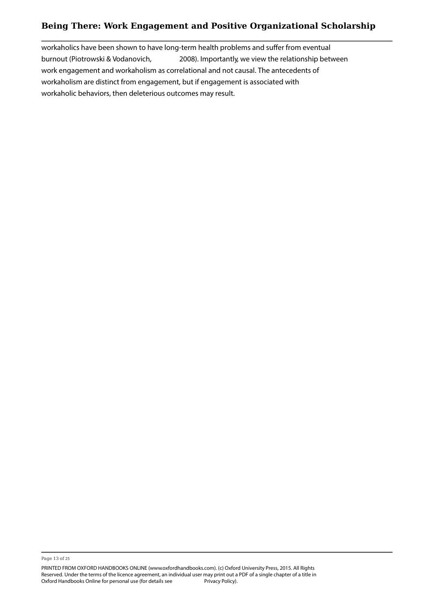workaholics have been shown to have long-term health problems and suffer from eventual burnout (Piotrowski & Vodanovich, 2008). Importantly, we view the relationship between work engagement and workaholism as correlational and not causal. The antecedents of workaholism are distinct from engagement, but if engagement is associated with workaholic behaviors, then deleterious outcomes may result.

Page 13 of 25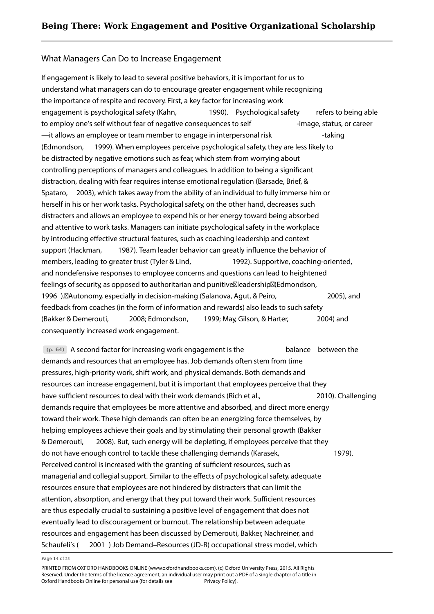#### What Managers Can Do to Increase Engagement

If engagement is likely to lead to several positive behaviors, it is important for us to understand what managers can do to encourage greater engagement while recognizing the importance of respite and recovery. First, a key factor for increasing work engagement is psychological safety (Kahn, 1990). Psychological safety refers to being able to employ one's self without fear of negative consequences to self -image, status, or career —it allows an employee or team member to engage in interpersonal risk -taking (Edmondson, 1999). When employees perceive psychological safety, they are less likely to be distracted by negative emotions such as fear, which stem from worrying about controlling perceptions of managers and colleagues. In addition to being a significant distraction, dealing with fear requires intense emotional regulation (Barsade, Brief, & Spataro, 2003), which takes away from the ability of an individual to fully immerse him or herself in his or her work tasks. Psychological safety, on the other hand, decreases such distracters and allows an employee to expend his or her energy toward being absorbed and attentive to work tasks. Managers can initiate psychological safety in the workplace by introducing effective structural features, such as coaching leadership and context support (Hackman, 1987). Team leader behavior can greatly influence the behavior of members, leading to greater trust (Tyler & Lind, 1992). Supportive, coaching-oriented, and nondefensive responses to employee concerns and questions can lead to heightened feelings of security, as opposed to authoritarian and punitive leadership (Edmondson, 1996 ). Autonomy, especially in decision-making (Salanova, Agut, & Peiro, 2005), and feedback from coaches (in the form of information and rewards) also leads to such safety (Bakker & Demerouti, 2008; Edmondson, 1999; May, Gilson, & Harter, 2004) and consequently increased work engagement.

A second factor for increasing work engagement is the balance between the **(p. 64)** demands and resources that an employee has. Job demands often stem from time pressures, high-priority work, shift work, and physical demands. Both demands and resources can increase engagement, but it is important that employees perceive that they have sufficient resources to deal with their work demands (Rich et al., 2010). Challenging demands require that employees be more attentive and absorbed, and direct more energy toward their work. These high demands can often be an energizing force themselves, by helping employees achieve their goals and by stimulating their personal growth (Bakker & Demerouti, 2008). But, such energy will be depleting, if employees perceive that they do not have enough control to tackle these challenging demands (Karasek, 1979). Perceived control is increased with the granting of sufficient resources, such as managerial and collegial support. Similar to the effects of psychological safety, adequate resources ensure that employees are not hindered by distracters that can limit the attention, absorption, and energy that they put toward their work. Sufficient resources are thus especially crucial to sustaining a positive level of engagement that does not eventually lead to discouragement or burnout. The relationship between adequate resources and engagement has been discussed by Demerouti, Bakker, Nachreiner, and Schaufeli's ( 2001 ) Job Demand–Resources (JD-R) occupational stress model, which

Page 14 of 25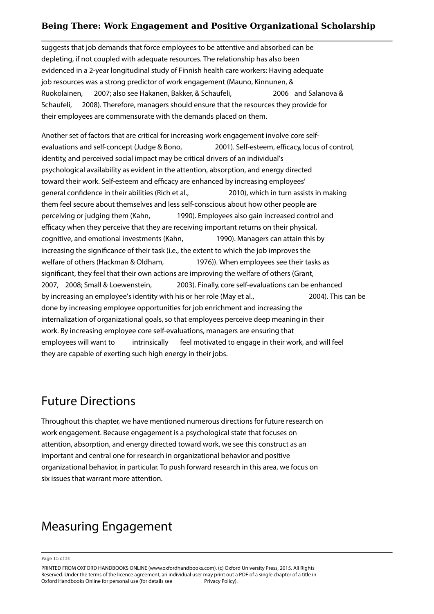suggests that job demands that force employees to be attentive and absorbed can be depleting, if not coupled with adequate resources. The relationship has also been evidenced in a 2-year longitudinal study of Finnish health care workers: Having adequate job resources was a strong predictor of work engagement (Mauno, Kinnunen, & Ruokolainen, 2007; also see Hakanen, Bakker, & Schaufeli, 2006 and Salanova & Schaufeli, 2008). Therefore, managers should ensure that the resources they provide for their employees are commensurate with the demands placed on them.

Another set of factors that are critical for increasing work engagement involve core selfevaluations and self-concept (Judge & Bono, 2001). Self-esteem, efficacy, locus of control, identity, and perceived social impact may be critical drivers of an individual's psychological availability as evident in the attention, absorption, and energy directed toward their work. Self-esteem and efficacy are enhanced by increasing employees' general confidence in their abilities (Rich et al., 2010), which in turn assists in making them feel secure about themselves and less self-conscious about how other people are perceiving or judging them (Kahn, 1990). Employees also gain increased control and efficacy when they perceive that they are receiving important returns on their physical, cognitive, and emotional investments (Kahn, 1990). Managers can attain this by increasing the significance of their task (i.e., the extent to which the job improves the welfare of others (Hackman & Oldham, 1976)). When employees see their tasks as significant, they feel that their own actions are improving the welfare of others (Grant, 2007, 2008; Small & Loewenstein, 2003). Finally, core self-evaluations can be enhanced by increasing an employee's identity with his or her role (May et al., 2004). This can be done by increasing employee opportunities for job enrichment and increasing the internalization of organizational goals, so that employees perceive deep meaning in their work. By increasing employee core self-evaluations, managers are ensuring that employees will want to intrinsically feel motivated to engage in their work, and will feel they are capable of exerting such high energy in their jobs.

# Future Directions

Throughout this chapter, we have mentioned numerous directions for future research on work engagement. Because engagement is a psychological state that focuses on attention, absorption, and energy directed toward work, we see this construct as an important and central one for research in organizational behavior and positive organizational behavior, in particular. To push forward research in this area, we focus on six issues that warrant more attention.

# Measuring Engagement

Page 15 of 25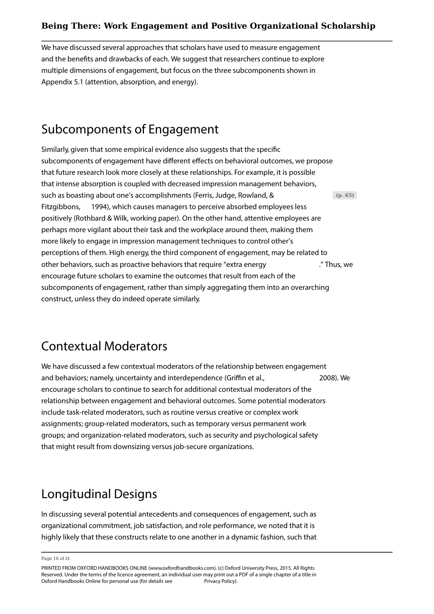We have discussed several approaches that scholars have used to measure engagement and the benefits and drawbacks of each. We suggest that researchers continue to explore multiple dimensions of engagement, but focus on the three subcomponents shown in Appendix 5.1 (attention, absorption, and energy).

# Subcomponents of Engagement

Similarly, given that some empirical evidence also suggests that the specific subcomponents of engagement have different effects on behavioral outcomes, we propose that future research look more closely at these relationships. For example, it is possible that intense absorption is coupled with decreased impression management behaviors, such as boasting about one's accomplishments (Ferris, Judge, Rowland, & Fitzgibbons, 1994), which causes managers to perceive absorbed employees less positively (Rothbard & Wilk, working paper). On the other hand, attentive employees are perhaps more vigilant about their task and the workplace around them, making them more likely to engage in impression management techniques to control other's perceptions of them. High energy, the third component of engagement, may be related to other behaviors, such as proactive behaviors that require "extra energy ." Thus, we encourage future scholars to examine the outcomes that result from each of the subcomponents of engagement, rather than simply aggregating them into an overarching construct, unless they do indeed operate similarly. **(p. 65)**

# Contextual Moderators

We have discussed a few contextual moderators of the relationship between engagement and behaviors; namely, uncertainty and interdependence (Griffin et al., 2008). We encourage scholars to continue to search for additional contextual moderators of the relationship between engagement and behavioral outcomes. Some potential moderators include task-related moderators, such as routine versus creative or complex work assignments; group-related moderators, such as temporary versus permanent work groups; and organization-related moderators, such as security and psychological safety that might result from downsizing versus job-secure organizations.

# Longitudinal Designs

In discussing several potential antecedents and consequences of engagement, such as organizational commitment, job satisfaction, and role performance, we noted that it is highly likely that these constructs relate to one another in a dynamic fashion, such that

Page 16 of 25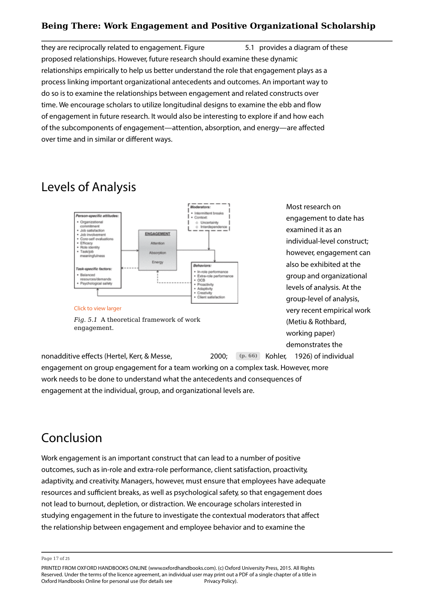they are reciprocally related to engagement. Figure 5.1 provides a diagram of these proposed relationships. However, future research should examine these dynamic relationships empirically to help us better understand the role that engagement plays as a process linking important organizational antecedents and outcomes. An important way to do so is to examine the relationships between engagement and related constructs over time. We encourage scholars to utilize longitudinal designs to examine the ebb and flow of engagement in future research. It would also be interesting to explore if and how each of the subcomponents of engagement—attention, absorption, and energy—are affected over time and in similar or different ways.

# Levels of Analysis



#### Click to view larger

*Fig. 5.1* A theoretical framework of work engagement.

Most research on engagement to date has examined it as an individual-level construct; however, engagement can also be exhibited at the group and organizational levels of analysis. At the group-level of analysis, very recent empirical work (Metiu & Rothbard, working paper) demonstrates the

nonadditive effects (Hertel, Kerr, & Messe, 2000; engagement on group engagement for a team working on a complex task. However, more work needs to be done to understand what the antecedents and consequences of engagement at the individual, group, and organizational levels are. **(p. 66)**

# Conclusion

Work engagement is an important construct that can lead to a number of positive outcomes, such as in-role and extra-role performance, client satisfaction, proactivity, adaptivity, and creativity. Managers, however, must ensure that employees have adequate resources and sufficient breaks, as well as psychological safety, so that engagement does not lead to burnout, depletion, or distraction. We encourage scholars interested in studying engagement in the future to investigate the contextual moderators that affect the relationship between engagement and employee behavior and to examine the

Page 17 of 25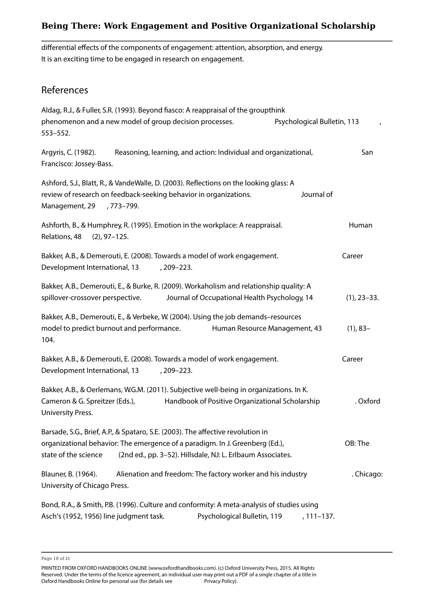differential effects of the components of engagement: attention, absorption, and energy. It is an exciting time to be engaged in research on engagement.

### References

| Aldag, R.J., & Fuller, S.R. (1993). Beyond fiasco: A reappraisal of the groupthink                                                                                                                                                                    |               |
|-------------------------------------------------------------------------------------------------------------------------------------------------------------------------------------------------------------------------------------------------------|---------------|
| phenomenon and a new model of group decision processes.<br>Psychological Bulletin, 113<br>$553 - 552.$                                                                                                                                                |               |
| Argyris, C. (1982).<br>Reasoning, learning, and action: Individual and organizational,<br>Francisco: Jossey-Bass.                                                                                                                                     | San           |
| Ashford, S.J., Blatt, R., & VandeWalle, D. (2003). Reflections on the looking glass: A<br>review of research on feedback-seeking behavior in organizations.<br>Journal of<br>Management, 29<br>, 773–799.                                             |               |
| Ashforth, B., & Humphrey, R. (1995). Emotion in the workplace: A reappraisal.<br>Relations, 48<br>$(2)$ , 97-125.                                                                                                                                     | Human         |
| Bakker, A.B., & Demerouti, E. (2008). Towards a model of work engagement.<br>Development International, 13<br>, 209-223.                                                                                                                              | Career        |
| Bakker, A.B., Demerouti, E., & Burke, R. (2009). Workaholism and relationship quality: A<br>Journal of Occupational Health Psychology, 14<br>spillover-crossover perspective.                                                                         | $(1), 23-33.$ |
| Bakker, A.B., Demerouti, E., & Verbeke, W. (2004). Using the job demands-resources<br>model to predict burnout and performance.<br>Human Resource Management, 43<br>104.                                                                              | $(1), 83-$    |
| Bakker, A.B., & Demerouti, E. (2008). Towards a model of work engagement.<br>Development International, 13<br>, 209-223.                                                                                                                              | Career        |
| Bakker, A.B., & Oerlemans, W.G.M. (2011). Subjective well-being in organizations. In K.<br>Cameron & G. Spreitzer (Eds.),<br>Handbook of Positive Organizational Scholarship<br>University Press.                                                     | . Oxford      |
| Barsade, S.G., Brief, A.P., & Spataro, S.E. (2003). The affective revolution in<br>organizational behavior: The emergence of a paradigm. In J. Greenberg (Ed.),<br>state of the science<br>(2nd ed., pp. 3-52). Hillsdale, NJ: L. Erlbaum Associates. | OB: The       |
| Alienation and freedom: The factory worker and his industry<br>Blauner, B. (1964).<br>University of Chicago Press.                                                                                                                                    | . Chicago:    |
| Bond, R.A., & Smith, P.B. (1996). Culture and conformity: A meta-analysis of studies using<br>Asch's (1952, 1956) line judgment task.<br>Psychological Bulletin, 119<br>, 111–137.                                                                    |               |

Page 18 of 25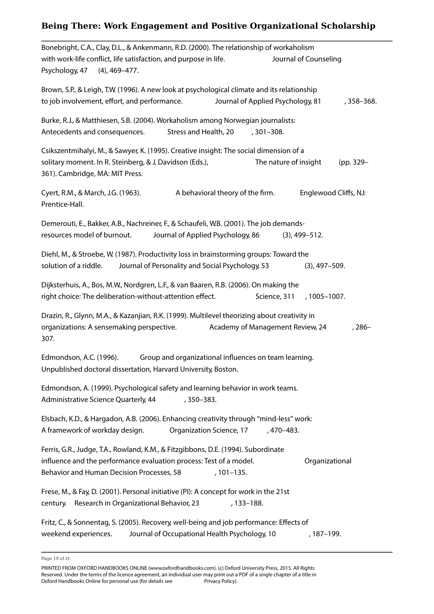| Bonebright, C.A., Clay, D.L., & Ankenmann, R.D. (2000). The relationship of workaholism<br>with work-life conflict, life satisfaction, and purpose in life.<br>Journal of Counseling<br>Psychology, 47<br>$(4)$ , 469-477.           |
|--------------------------------------------------------------------------------------------------------------------------------------------------------------------------------------------------------------------------------------|
| Brown, S.P., & Leigh, T.W. (1996). A new look at psychological climate and its relationship<br>to job involvement, effort, and performance.<br>Journal of Applied Psychology, 81<br>, 358-368.                                       |
| Burke, R.J., & Matthiesen, S.B. (2004). Workaholism among Norwegian journalists:<br>Antecedents and consequences.<br>Stress and Health, 20<br>, 301-308.                                                                             |
| Csikszentmihalyi, M., & Sawyer, K. (1995). Creative insight: The social dimension of a<br>solitary moment. In R. Steinberg, & J. Davidson (Eds.),<br>The nature of insight<br>(pp. 329-<br>361). Cambridge, MA: MIT Press.           |
| Cyert, R.M., & March, J.G. (1963).<br>A behavioral theory of the firm.<br>Englewood Cliffs, NJ:<br>Prentice-Hall.                                                                                                                    |
| Demerouti, E., Bakker, A.B., Nachreiner, F., & Schaufeli, W.B. (2001). The job demands-<br>Journal of Applied Psychology, 86<br>resources model of burnout.<br>$(3), 499 - 512.$                                                     |
| Diehl, M., & Stroebe, W. (1987). Productivity loss in brainstorming groups: Toward the<br>solution of a riddle.<br>Journal of Personality and Social Psychology, 53<br>$(3)$ , 497-509.                                              |
| Dijksterhuis, A., Bos, M.W., Nordgren, L.F., & van Baaren, R.B. (2006). On making the<br>right choice: The deliberation-without-attention effect.<br>Science, 311<br>, 1005-1007.                                                    |
| Drazin, R., Glynn, M.A., & Kazanjian, R.K. (1999). Multilevel theorizing about creativity in<br>Academy of Management Review, 24<br>organizations: A sensemaking perspective.<br>$,286-$<br>307.                                     |
| Edmondson, A.C. (1996).<br>Group and organizational influences on team learning.<br>Unpublished doctoral dissertation, Harvard University, Boston.                                                                                   |
| Edmondson, A. (1999). Psychological safety and learning behavior in work teams.<br>Administrative Science Quarterly, 44<br>, 350-383.                                                                                                |
| Elsbach, K.D., & Hargadon, A.B. (2006). Enhancing creativity through "mind-less" work:<br>A framework of workday design.<br>Organization Science, 17<br>, 470–483.                                                                   |
| Ferris, G.R., Judge, T.A., Rowland, K.M., & Fitzgibbons, D.E. (1994). Subordinate<br>influence and the performance evaluation process: Test of a model.<br>Organizational<br>, 101-135.<br>Behavior and Human Decision Processes, 58 |
| Frese, M., & Fay, D. (2001). Personal initiative (PI): A concept for work in the 21st<br>century. Research in Organizational Behavior, 23<br>, 133-188.                                                                              |
| Fritz, C., & Sonnentag, S. (2005). Recovery, well-being and job performance: Effects of<br>weekend experiences.<br>Journal of Occupational Health Psychology, 10<br>, 187–199.                                                       |

Page 19 of 25

PRINTED FROM OXFORD HANDBOOKS ONLINE (www.oxfordhandbooks.com). (c) Oxford University Press, 2015. All Rights Reserved. Under the terms of the licence agreement, an individual user may print out a PDF of a single chapter of a title in<br>Oxford Handbooks Online for personal use (for details see Privacy Policy). Oxford Handbooks Online for personal use (for details see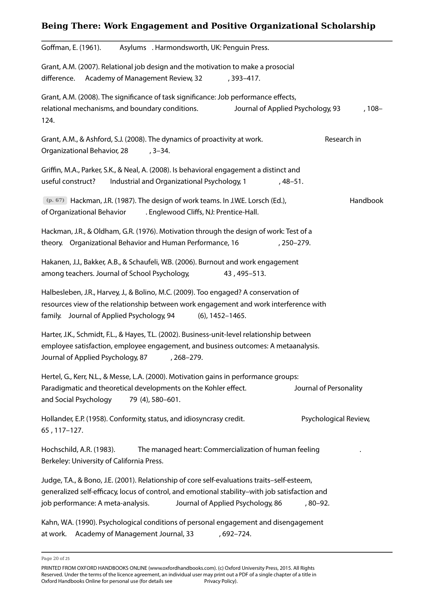Goffman, E. (1961). Asylums . Harmondsworth, UK: Penguin Press. Grant, A.M. (2007). Relational job design and the motivation to make a prosocial difference. Academy of Management Review, 32 , 393-417. Grant, A.M. (2008). The significance of task significance: Job performance effects, relational mechanisms, and boundary conditions. Journal of Applied Psychology, 93 , 108– 124. Grant, A.M., & Ashford, S.J. (2008). The dynamics of proactivity at work. Research in Organizational Behavior, 28 , 3-34. Griffin, M.A., Parker, S.K., & Neal, A. (2008). Is behavioral engagement a distinct and useful construct? Industrial and Organizational Psychology, 1 , 48-51. Hackman, J.R. (1987). The design of work teams. In J.W.E. Lorsch (Ed.), Handbook **(p. 67)** of Organizational Behavior . Englewood Cliffs, NJ: Prentice-Hall. Hackman, J.R., & Oldham, G.R. (1976). Motivation through the design of work: Test of a theory. Organizational Behavior and Human Performance, 16 , 250-279. Hakanen, J.J., Bakker, A.B., & Schaufeli, W.B. (2006). Burnout and work engagement among teachers. Journal of School Psychology, 43 , 495–513. Halbesleben, J.R., Harvey, J., & Bolino, M.C. (2009). Too engaged? A conservation of resources view of the relationship between work engagement and work interference with family. Journal of Applied Psychology, 94 (6), 1452–1465. Harter, J.K., Schmidt, F.L., & Hayes, T.L. (2002). Business-unit-level relationship between employee satisfaction, employee engagement, and business outcomes: A metaanalysis. Journal of Applied Psychology, 87 , 268-279. Hertel, G., Kerr, N.L., & Messe, L.A. (2000). Motivation gains in performance groups: Paradigmatic and theoretical developments on the Kohler effect. Journal of Personality and Social Psychology 79 (4), 580–601. Hollander, E.P. (1958). Conformity, status, and idiosyncrasy credit. Psychological Review, 65 , 117–127. Hochschild, A.R. (1983). The managed heart: Commercialization of human feeling . Berkeley: University of California Press. Judge, T.A., & Bono, J.E. (2001). Relationship of core self-evaluations traits–self-esteem, generalized self-efficacy, locus of control, and emotional stability-with job satisfaction and job performance: A meta-analysis. Journal of Applied Psychology, 86 , 80–92. Kahn, W.A. (1990). Psychological conditions of personal engagement and disengagement at work. Academy of Management Journal, 33 , 692-724.

Page 20 of 25

PRINTED FROM OXFORD HANDBOOKS ONLINE (www.oxfordhandbooks.com). (c) Oxford University Press, 2015. All Rights Reserved. Under the terms of the licence agreement, an individual user may print out a PDF of a single chapter of a title in Oxford Handbooks Online for personal use (for details see Privacy Policy).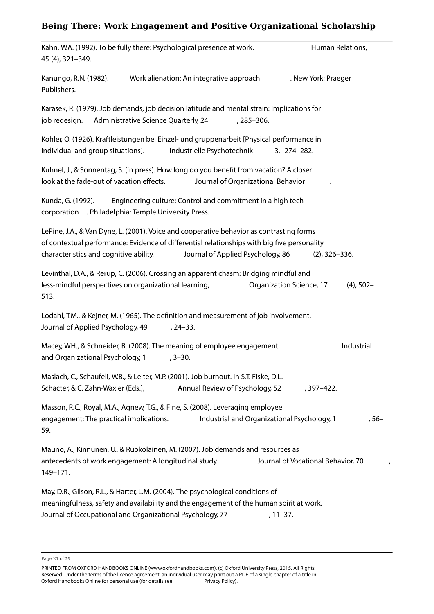| Kahn, W.A. (1992). To be fully there: Psychological presence at work.<br>45 (4), 321-349.                                                                                                                                                                              | Human Relations,                         |  |
|------------------------------------------------------------------------------------------------------------------------------------------------------------------------------------------------------------------------------------------------------------------------|------------------------------------------|--|
| Kanungo, R.N. (1982).<br>Work alienation: An integrative approach<br>Publishers.                                                                                                                                                                                       | . New York: Praeger                      |  |
| Karasek, R. (1979). Job demands, job decision latitude and mental strain: Implications for<br>Administrative Science Quarterly, 24<br>job redesign.<br>, 285-306.                                                                                                      |                                          |  |
| Kohler, O. (1926). Kraftleistungen bei Einzel- und gruppenarbeit [Physical performance in<br>individual and group situations].<br>Industrielle Psychotechnik                                                                                                           | 3, 274-282.                              |  |
| Kuhnel, J., & Sonnentag, S. (in press). How long do you benefit from vacation? A closer<br>look at the fade-out of vacation effects.<br>Journal of Organizational Behavior                                                                                             |                                          |  |
| Kunda, G. (1992).<br>Engineering culture: Control and commitment in a high tech<br>corporation . Philadelphia: Temple University Press.                                                                                                                                |                                          |  |
| LePine, J.A., & Van Dyne, L. (2001). Voice and cooperative behavior as contrasting forms<br>of contextual performance: Evidence of differential relationships with big five personality<br>characteristics and cognitive ability.<br>Journal of Applied Psychology, 86 | $(2)$ , 326-336.                         |  |
| Levinthal, D.A., & Rerup, C. (2006). Crossing an apparent chasm: Bridging mindful and<br>less-mindful perspectives on organizational learning,<br>513.                                                                                                                 | Organization Science, 17<br>$(4)$ , 502- |  |
| Lodahl, T.M., & Kejner, M. (1965). The definition and measurement of job involvement.<br>Journal of Applied Psychology, 49<br>$, 24 - 33.$                                                                                                                             |                                          |  |
| Macey, W.H., & Schneider, B. (2008). The meaning of employee engagement.<br>and Organizational Psychology, 1<br>$, 3 - 30.$                                                                                                                                            | Industrial                               |  |
| Maslach, C., Schaufeli, W.B., & Leiter, M.P. (2001). Job burnout. In S.T. Fiske, D.L.<br>Schacter, & C. Zahn-Waxler (Eds.),<br>Annual Review of Psychology, 52                                                                                                         | , 397–422.                               |  |
| Masson, R.C., Royal, M.A., Agnew, T.G., & Fine, S. (2008). Leveraging employee<br>engagement: The practical implications.<br>Industrial and Organizational Psychology, 1<br>59.                                                                                        | , 56–                                    |  |
| Mauno, A., Kinnunen, U., & Ruokolainen, M. (2007). Job demands and resources as<br>antecedents of work engagement: A longitudinal study.<br>149-171.                                                                                                                   | Journal of Vocational Behavior, 70       |  |
| May, D.R., Gilson, R.L., & Harter, L.M. (2004). The psychological conditions of<br>meaningfulness, safety and availability and the engagement of the human spirit at work.<br>Journal of Occupational and Organizational Psychology, 77                                | $, 11 - 37.$                             |  |

Page 21 of 25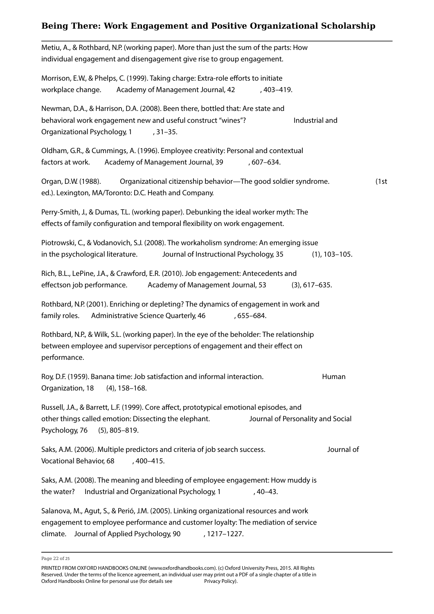| Metiu, A., & Rothbard, N.P. (working paper). More than just the sum of the parts: How                                                                                                                                                         |
|-----------------------------------------------------------------------------------------------------------------------------------------------------------------------------------------------------------------------------------------------|
| individual engagement and disengagement give rise to group engagement.                                                                                                                                                                        |
| Morrison, E.W., & Phelps, C. (1999). Taking charge: Extra-role efforts to initiate<br>Academy of Management Journal, 42<br>, 403-419.<br>workplace change.                                                                                    |
| Newman, D.A., & Harrison, D.A. (2008). Been there, bottled that: Are state and<br>behavioral work engagement new and useful construct "wines"?<br>Industrial and<br>Organizational Psychology, 1<br>$, 31 - 35.$                              |
| Oldham, G.R., & Cummings, A. (1996). Employee creativity: Personal and contextual<br>factors at work.<br>Academy of Management Journal, 39<br>, 607-634.                                                                                      |
| Organ, D.W. (1988).<br>Organizational citizenship behavior-The good soldier syndrome.<br>(1st)<br>ed.). Lexington, MA/Toronto: D.C. Heath and Company.                                                                                        |
| Perry-Smith, J., & Dumas, T.L. (working paper). Debunking the ideal worker myth: The<br>effects of family configuration and temporal flexibility on work engagement.                                                                          |
| Piotrowski, C., & Vodanovich, S.J. (2008). The workaholism syndrome: An emerging issue<br>Journal of Instructional Psychology, 35<br>in the psychological literature.<br>$(1)$ , 103-105.                                                     |
| Rich, B.L., LePine, J.A., & Crawford, E.R. (2010). Job engagement: Antecedents and<br>effectson job performance.<br>Academy of Management Journal, 53<br>$(3)$ , 617-635.                                                                     |
| Rothbard, N.P. (2001). Enriching or depleting? The dynamics of engagement in work and<br>family roles.<br>Administrative Science Quarterly, 46<br>, 655-684.                                                                                  |
| Rothbard, N.P., & Wilk, S.L. (working paper). In the eye of the beholder: The relationship<br>between employee and supervisor perceptions of engagement and their effect on<br>performance.                                                   |
| Roy, D.F. (1959). Banana time: Job satisfaction and informal interaction.<br>Human<br>Organization, 18<br>$(4)$ , 158-168.                                                                                                                    |
| Russell, J.A., & Barrett, L.F. (1999). Core affect, prototypical emotional episodes, and                                                                                                                                                      |
| other things called emotion: Dissecting the elephant.<br>Journal of Personality and Social<br>Psychology, 76<br>$(5)$ , 805-819.                                                                                                              |
| Saks, A.M. (2006). Multiple predictors and criteria of job search success.<br>Journal of<br>Vocational Behavior, 68<br>, 400-415.                                                                                                             |
| Saks, A.M. (2008). The meaning and bleeding of employee engagement: How muddy is<br>Industrial and Organizational Psychology, 1<br>the water?<br>$,40-43.$                                                                                    |
| Salanova, M., Agut, S., & Perió, J.M. (2005). Linking organizational resources and work<br>engagement to employee performance and customer loyalty: The mediation of service<br>Journal of Applied Psychology, 90<br>climate.<br>, 1217-1227. |

Page 22 of 25

PRINTED FROM OXFORD HANDBOOKS ONLINE (www.oxfordhandbooks.com). (c) Oxford University Press, 2015. All Rights Reserved. Under the terms of the licence agreement, an individual user may print out a PDF of a single chapter of a title in<br>Oxford Handbooks Online for personal use (for details see Privacy Policy). Oxford Handbooks Online for personal use (for details see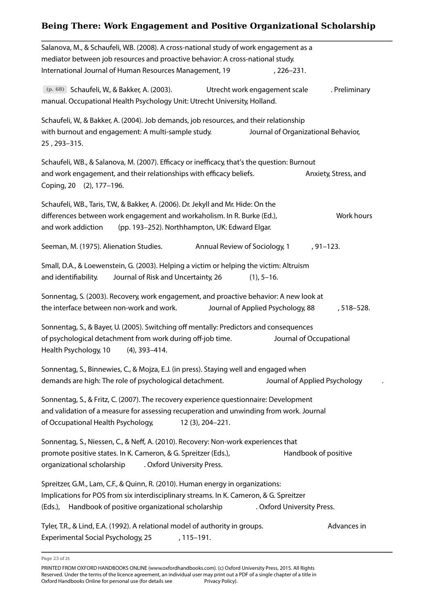| Salanova, M., & Schaufeli, W.B. (2008). A cross-national study of work engagement as a<br>mediator between job resources and proactive behavior: A cross-national study.<br>International Journal of Human Resources Management, 19<br>, 226-231.   |  |  |
|-----------------------------------------------------------------------------------------------------------------------------------------------------------------------------------------------------------------------------------------------------|--|--|
| (p. 68) Schaufeli, W., & Bakker, A. (2003).<br>Utrecht work engagement scale<br>. Preliminary<br>manual. Occupational Health Psychology Unit: Utrecht University, Holland.                                                                          |  |  |
| Schaufeli, W., & Bakker, A. (2004). Job demands, job resources, and their relationship<br>with burnout and engagement: A multi-sample study.<br>Journal of Organizational Behavior,<br>25, 293-315.                                                 |  |  |
| Schaufeli, W.B., & Salanova, M. (2007). Efficacy or inefficacy, that's the question: Burnout<br>and work engagement, and their relationships with efficacy beliefs.<br>Anxiety, Stress, and<br>Coping, 20 (2), 177-196.                             |  |  |
| Schaufeli, W.B., Taris, T.W., & Bakker, A. (2006). Dr. Jekyll and Mr. Hide: On the<br>differences between work engagement and workaholism. In R. Burke (Ed.),<br>Work hours<br>(pp. 193-252). Northhampton, UK: Edward Elgar.<br>and work addiction |  |  |
| Seeman, M. (1975). Alienation Studies.<br>Annual Review of Sociology, 1<br>$, 91 - 123.$                                                                                                                                                            |  |  |
| Small, D.A., & Loewenstein, G. (2003). Helping a victim or helping the victim: Altruism<br>Journal of Risk and Uncertainty, 26<br>and identifiability.<br>$(1), 5-16.$                                                                              |  |  |
| Sonnentag, S. (2003). Recovery, work engagement, and proactive behavior: A new look at<br>the interface between non-work and work.<br>Journal of Applied Psychology, 88<br>, 518–528.                                                               |  |  |
| Sonnentag, S., & Bayer, U. (2005). Switching off mentally: Predictors and consequences<br>of psychological detachment from work during off-job time.<br>Journal of Occupational<br>Health Psychology, 10<br>$(4)$ , 393-414.                        |  |  |
| Sonnentag, S., Binnewies, C., & Mojza, E.J. (in press). Staying well and engaged when                                                                                                                                                               |  |  |
| demands are high: The role of psychological detachment.<br>Journal of Applied Psychology                                                                                                                                                            |  |  |
| Sonnentag, S., & Fritz, C. (2007). The recovery experience questionnaire: Development<br>and validation of a measure for assessing recuperation and unwinding from work. Journal<br>of Occupational Health Psychology,<br>12 (3), 204-221.          |  |  |
| Sonnentag, S., Niessen, C., & Neff, A. (2010). Recovery: Non-work experiences that                                                                                                                                                                  |  |  |
| promote positive states. In K. Cameron, & G. Spreitzer (Eds.),<br>Handbook of positive<br>organizational scholarship<br>. Oxford University Press.                                                                                                  |  |  |
| Spreitzer, G.M., Lam, C.F., & Quinn, R. (2010). Human energy in organizations:<br>Implications for POS from six interdisciplinary streams. In K. Cameron, & G. Spreitzer                                                                            |  |  |
| Handbook of positive organizational scholarship<br>. Oxford University Press.<br>(Eds.),                                                                                                                                                            |  |  |
| Tyler, T.R., & Lind, E.A. (1992). A relational model of authority in groups.<br>Advances in<br>Experimental Social Psychology, 25<br>, 115–191.                                                                                                     |  |  |

Page 23 of 25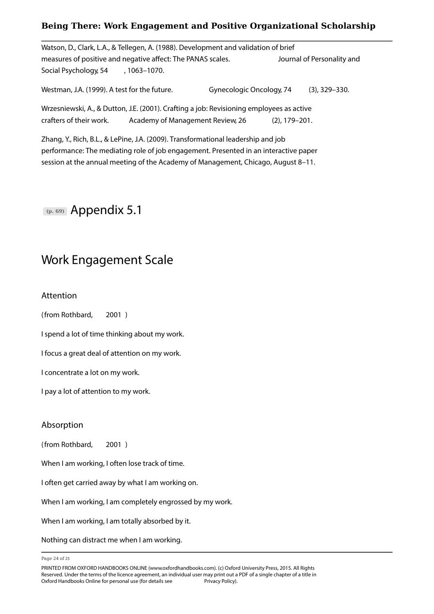Watson, D., Clark, L.A., & Tellegen, A. (1988). Development and validation of brief measures of positive and negative affect: The PANAS scales. Journal of Personality and Social Psychology, 54 , 1063–1070.

Westman, J.A. (1999). A test for the future. Gynecologic Oncology, 74 (3), 329–330.

Wrzesniewski, A., & Dutton, J.E. (2001). Crafting a job: Revisioning employees as active crafters of their work. Academy of Management Review, 26 (2), 179–201.

Zhang, Y., Rich, B.L., & LePine, J.A. (2009). Transformational leadership and job performance: The mediating role of job engagement. Presented in an interactive paper session at the annual meeting of the Academy of Management, Chicago, August 8–11.

### Appendix 5.1 **(p. 69)**

## Work Engagement Scale

#### Attention

( from Rothbard, 2001 )

I spend a lot of time thinking about my work.

I focus a great deal of attention on my work.

I concentrate a lot on my work.

I pay a lot of attention to my work.

#### Absorption

( from Rothbard, 2001 )

When I am working, I often lose track of time.

I often get carried away by what I am working on.

When I am working, I am completely engrossed by my work.

When I am working, I am totally absorbed by it.

Nothing can distract me when I am working.

Page 24 of 25

PRINTED FROM OXFORD HANDBOOKS ONLINE (www.oxfordhandbooks.com). (c) Oxford University Press, 2015. All Rights Reserved. Under the terms of the licence agreement, an individual user may print out a PDF of a single chapter of a title in Oxford Handbooks Online for personal use (for details see Privacy Policy).